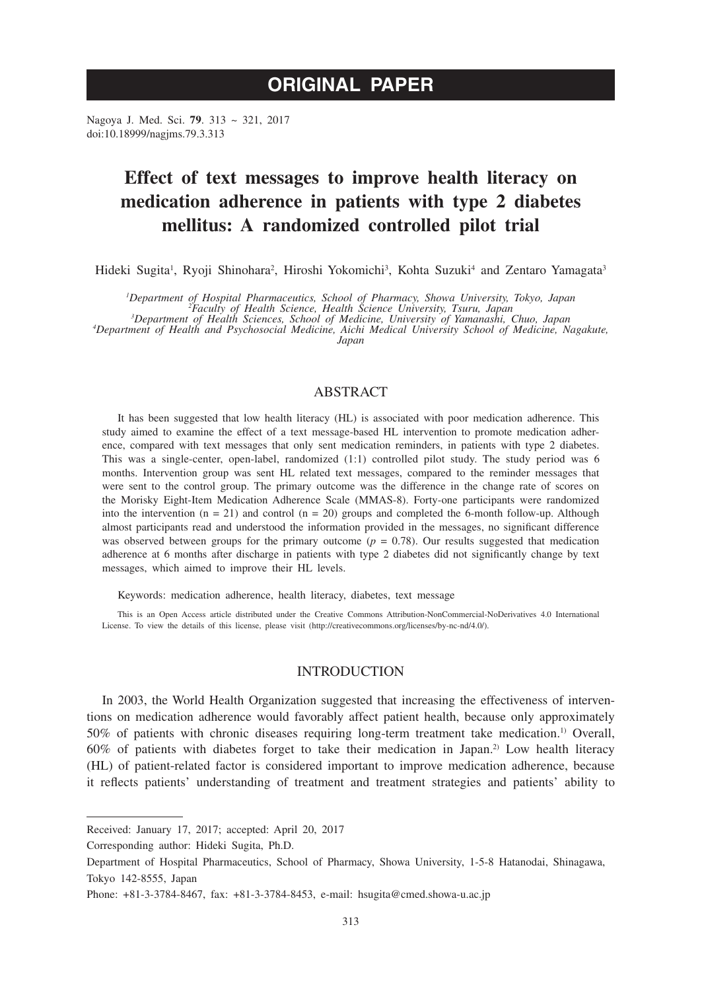## **ORIGINAL PAPER**

Nagoya J. Med. Sci. **79**. 313 ~ 321, 2017 doi:10.18999/nagjms.79.3.313

# **Effect of text messages to improve health literacy on medication adherence in patients with type 2 diabetes mellitus: A randomized controlled pilot trial**

Hideki Sugita<sup>1</sup>, Ryoji Shinohara<sup>2</sup>, Hiroshi Yokomichi<sup>3</sup>, Kohta Suzuki<sup>4</sup> and Zentaro Yamagata<sup>3</sup>

<sup>1</sup>Department of Hospital Pharmaceutics, School of Pharmacy, Showa University, Tokyo, Japan<br><sup>2</sup>Faculty of Health Science, Health Science University, Tsuru, Japan<sup>2</sup><br><sup>3</sup>Department of Health Asciences, School of Medicine, Un

*Department of Health and Psychosocial Medicine, Aichi Medical University School of Medicine, Nagakute, Japan*

## ABSTRACT

It has been suggested that low health literacy (HL) is associated with poor medication adherence. This study aimed to examine the effect of a text message-based HL intervention to promote medication adherence, compared with text messages that only sent medication reminders, in patients with type 2 diabetes. This was a single-center, open-label, randomized (1:1) controlled pilot study. The study period was 6 months. Intervention group was sent HL related text messages, compared to the reminder messages that were sent to the control group. The primary outcome was the difference in the change rate of scores on the Morisky Eight-Item Medication Adherence Scale (MMAS-8). Forty-one participants were randomized into the intervention  $(n = 21)$  and control  $(n = 20)$  groups and completed the 6-month follow-up. Although almost participants read and understood the information provided in the messages, no significant difference was observed between groups for the primary outcome  $(p = 0.78)$ . Our results suggested that medication adherence at 6 months after discharge in patients with type 2 diabetes did not significantly change by text messages, which aimed to improve their HL levels.

Keywords: medication adherence, health literacy, diabetes, text message

This is an Open Access article distributed under the Creative Commons Attribution-NonCommercial-NoDerivatives 4.0 International License. To view the details of this license, please visit (http://creativecommons.org/licenses/by-nc-nd/4.0/).

## INTRODUCTION

In 2003, the World Health Organization suggested that increasing the effectiveness of interventions on medication adherence would favorably affect patient health, because only approximately 50% of patients with chronic diseases requiring long-term treatment take medication.1) Overall, 60% of patients with diabetes forget to take their medication in Japan.2) Low health literacy (HL) of patient-related factor is considered important to improve medication adherence, because it reflects patients' understanding of treatment and treatment strategies and patients' ability to

Corresponding author: Hideki Sugita, Ph.D.

Received: January 17, 2017; accepted: April 20, 2017

Department of Hospital Pharmaceutics, School of Pharmacy, Showa University, 1-5-8 Hatanodai, Shinagawa, Tokyo 142-8555, Japan

Phone: +81-3-3784-8467, fax: +81-3-3784-8453, e-mail: hsugita@cmed.showa-u.ac.jp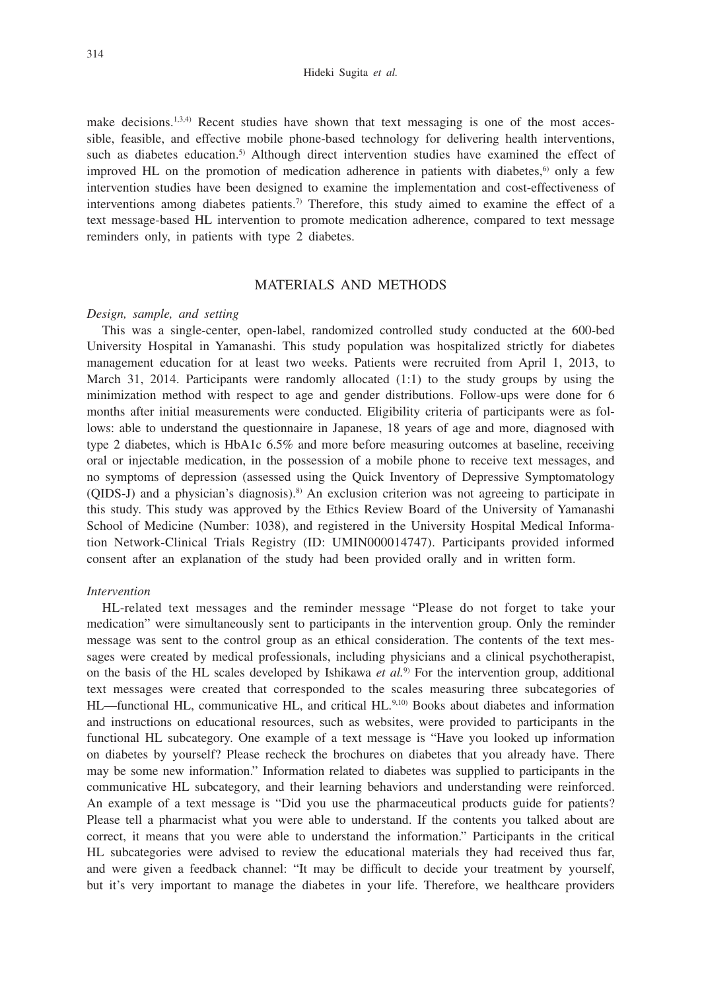make decisions.<sup>1,3,4)</sup> Recent studies have shown that text messaging is one of the most accessible, feasible, and effective mobile phone-based technology for delivering health interventions, such as diabetes education.<sup>5)</sup> Although direct intervention studies have examined the effect of improved HL on the promotion of medication adherence in patients with diabetes, $6$  only a few intervention studies have been designed to examine the implementation and cost-effectiveness of interventions among diabetes patients.<sup>7)</sup> Therefore, this study aimed to examine the effect of a text message-based HL intervention to promote medication adherence, compared to text message reminders only, in patients with type 2 diabetes.

## MATERIALS AND METHODS

#### *Design, sample, and setting*

This was a single-center, open-label, randomized controlled study conducted at the 600-bed University Hospital in Yamanashi. This study population was hospitalized strictly for diabetes management education for at least two weeks. Patients were recruited from April 1, 2013, to March 31, 2014. Participants were randomly allocated  $(1:1)$  to the study groups by using the minimization method with respect to age and gender distributions. Follow-ups were done for 6 months after initial measurements were conducted. Eligibility criteria of participants were as follows: able to understand the questionnaire in Japanese, 18 years of age and more, diagnosed with type 2 diabetes, which is HbA1c 6.5% and more before measuring outcomes at baseline, receiving oral or injectable medication, in the possession of a mobile phone to receive text messages, and no symptoms of depression (assessed using the Quick Inventory of Depressive Symptomatology (QIDS-J) and a physician's diagnosis).<sup>8)</sup> An exclusion criterion was not agreeing to participate in this study. This study was approved by the Ethics Review Board of the University of Yamanashi School of Medicine (Number: 1038), and registered in the University Hospital Medical Information Network-Clinical Trials Registry (ID: UMIN000014747). Participants provided informed consent after an explanation of the study had been provided orally and in written form.

#### *Intervention*

HL-related text messages and the reminder message "Please do not forget to take your medication" were simultaneously sent to participants in the intervention group. Only the reminder message was sent to the control group as an ethical consideration. The contents of the text messages were created by medical professionals, including physicians and a clinical psychotherapist, on the basis of the HL scales developed by Ishikawa *et al.*9) For the intervention group, additional text messages were created that corresponded to the scales measuring three subcategories of HL—functional HL, communicative HL, and critical HL.<sup>9,10</sup> Books about diabetes and information and instructions on educational resources, such as websites, were provided to participants in the functional HL subcategory. One example of a text message is "Have you looked up information on diabetes by yourself? Please recheck the brochures on diabetes that you already have. There may be some new information." Information related to diabetes was supplied to participants in the communicative HL subcategory, and their learning behaviors and understanding were reinforced. An example of a text message is "Did you use the pharmaceutical products guide for patients? Please tell a pharmacist what you were able to understand. If the contents you talked about are correct, it means that you were able to understand the information." Participants in the critical HL subcategories were advised to review the educational materials they had received thus far, and were given a feedback channel: "It may be difficult to decide your treatment by yourself, but it's very important to manage the diabetes in your life. Therefore, we healthcare providers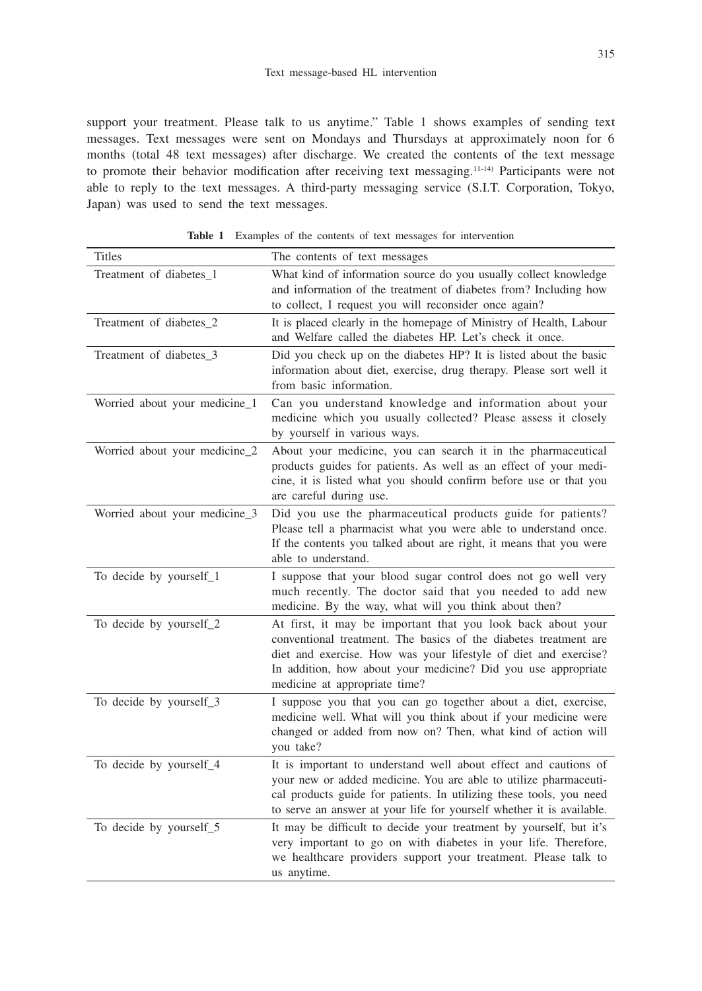support your treatment. Please talk to us anytime." Table 1 shows examples of sending text messages. Text messages were sent on Mondays and Thursdays at approximately noon for 6 months (total 48 text messages) after discharge. We created the contents of the text message to promote their behavior modification after receiving text messaging.11-14) Participants were not able to reply to the text messages. A third-party messaging service (S.I.T. Corporation, Tokyo, Japan) was used to send the text messages.

| <b>Titles</b>                 | The contents of text messages                                                                                                                                                                                                                                                                        |
|-------------------------------|------------------------------------------------------------------------------------------------------------------------------------------------------------------------------------------------------------------------------------------------------------------------------------------------------|
| Treatment of diabetes_1       | What kind of information source do you usually collect knowledge<br>and information of the treatment of diabetes from? Including how<br>to collect, I request you will reconsider once again?                                                                                                        |
| Treatment of diabetes_2       | It is placed clearly in the homepage of Ministry of Health, Labour<br>and Welfare called the diabetes HP. Let's check it once.                                                                                                                                                                       |
| Treatment of diabetes_3       | Did you check up on the diabetes HP? It is listed about the basic<br>information about diet, exercise, drug therapy. Please sort well it<br>from basic information.                                                                                                                                  |
| Worried about your medicine_1 | Can you understand knowledge and information about your<br>medicine which you usually collected? Please assess it closely<br>by yourself in various ways.                                                                                                                                            |
| Worried about your medicine_2 | About your medicine, you can search it in the pharmaceutical<br>products guides for patients. As well as an effect of your medi-<br>cine, it is listed what you should confirm before use or that you<br>are careful during use.                                                                     |
| Worried about your medicine_3 | Did you use the pharmaceutical products guide for patients?<br>Please tell a pharmacist what you were able to understand once.<br>If the contents you talked about are right, it means that you were<br>able to understand.                                                                          |
| To decide by yourself_1       | I suppose that your blood sugar control does not go well very<br>much recently. The doctor said that you needed to add new<br>medicine. By the way, what will you think about then?                                                                                                                  |
| To decide by yourself_2       | At first, it may be important that you look back about your<br>conventional treatment. The basics of the diabetes treatment are<br>diet and exercise. How was your lifestyle of diet and exercise?<br>In addition, how about your medicine? Did you use appropriate<br>medicine at appropriate time? |
| To decide by yourself_3       | I suppose you that you can go together about a diet, exercise,<br>medicine well. What will you think about if your medicine were<br>changed or added from now on? Then, what kind of action will<br>you take?                                                                                        |
| To decide by yourself_4       | It is important to understand well about effect and cautions of<br>your new or added medicine. You are able to utilize pharmaceuti-<br>cal products guide for patients. In utilizing these tools, you need<br>to serve an answer at your life for yourself whether it is available.                  |
| To decide by yourself_5       | It may be difficult to decide your treatment by yourself, but it's<br>very important to go on with diabetes in your life. Therefore,<br>we healthcare providers support your treatment. Please talk to<br>us anytime.                                                                                |

**Table 1** Examples of the contents of text messages for intervention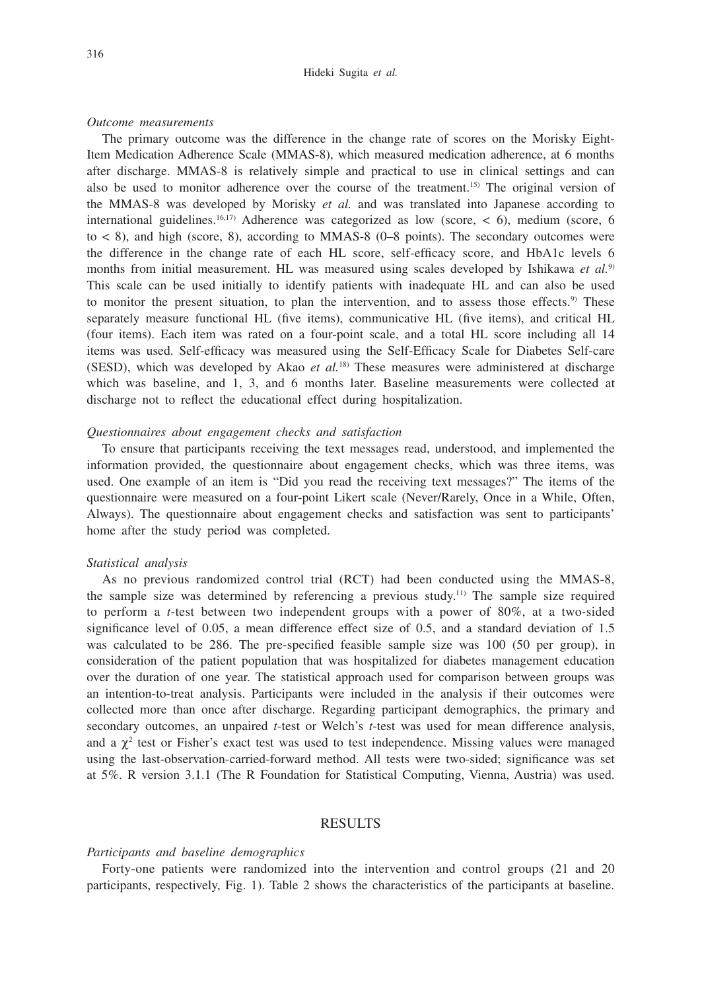#### Hideki Sugita *et al.*

#### *Outcome measurements*

The primary outcome was the difference in the change rate of scores on the Morisky Eight-Item Medication Adherence Scale (MMAS-8), which measured medication adherence, at 6 months after discharge. MMAS-8 is relatively simple and practical to use in clinical settings and can also be used to monitor adherence over the course of the treatment.15) The original version of the MMAS-8 was developed by Morisky *et al.* and was translated into Japanese according to international guidelines.<sup>16,17)</sup> Adherence was categorized as low (score,  $\lt$  6), medium (score, 6) to  $\lt$  8), and high (score, 8), according to MMAS-8 (0–8 points). The secondary outcomes were the difference in the change rate of each HL score, self-efficacy score, and HbA1c levels 6 months from initial measurement. HL was measured using scales developed by Ishikawa *et al.*9) This scale can be used initially to identify patients with inadequate HL and can also be used to monitor the present situation, to plan the intervention, and to assess those effects.<sup>9)</sup> These separately measure functional HL (five items), communicative HL (five items), and critical HL (four items). Each item was rated on a four-point scale, and a total HL score including all 14 items was used. Self-efficacy was measured using the Self-Efficacy Scale for Diabetes Self-care (SESD), which was developed by Akao *et al.*18) These measures were administered at discharge which was baseline, and 1, 3, and 6 months later. Baseline measurements were collected at discharge not to reflect the educational effect during hospitalization.

## *Questionnaires about engagement checks and satisfaction*

To ensure that participants receiving the text messages read, understood, and implemented the information provided, the questionnaire about engagement checks, which was three items, was used. One example of an item is "Did you read the receiving text messages?" The items of the questionnaire were measured on a four-point Likert scale (Never/Rarely, Once in a While, Often, Always). The questionnaire about engagement checks and satisfaction was sent to participants' home after the study period was completed.

#### *Statistical analysis*

As no previous randomized control trial (RCT) had been conducted using the MMAS-8, the sample size was determined by referencing a previous study.<sup>11)</sup> The sample size required to perform a *t*-test between two independent groups with a power of 80%, at a two-sided significance level of 0.05, a mean difference effect size of 0.5, and a standard deviation of 1.5 was calculated to be 286. The pre-specified feasible sample size was 100 (50 per group), in consideration of the patient population that was hospitalized for diabetes management education over the duration of one year. The statistical approach used for comparison between groups was an intention-to-treat analysis. Participants were included in the analysis if their outcomes were collected more than once after discharge. Regarding participant demographics, the primary and secondary outcomes, an unpaired *t*-test or Welch's *t*-test was used for mean difference analysis, and a  $\chi^2$  test or Fisher's exact test was used to test independence. Missing values were managed using the last-observation-carried-forward method. All tests were two-sided; significance was set at 5%. R version 3.1.1 (The R Foundation for Statistical Computing, Vienna, Austria) was used.

## RESULTS

#### *Participants and baseline demographics*

Forty-one patients were randomized into the intervention and control groups (21 and 20 participants, respectively, Fig. 1). Table 2 shows the characteristics of the participants at baseline.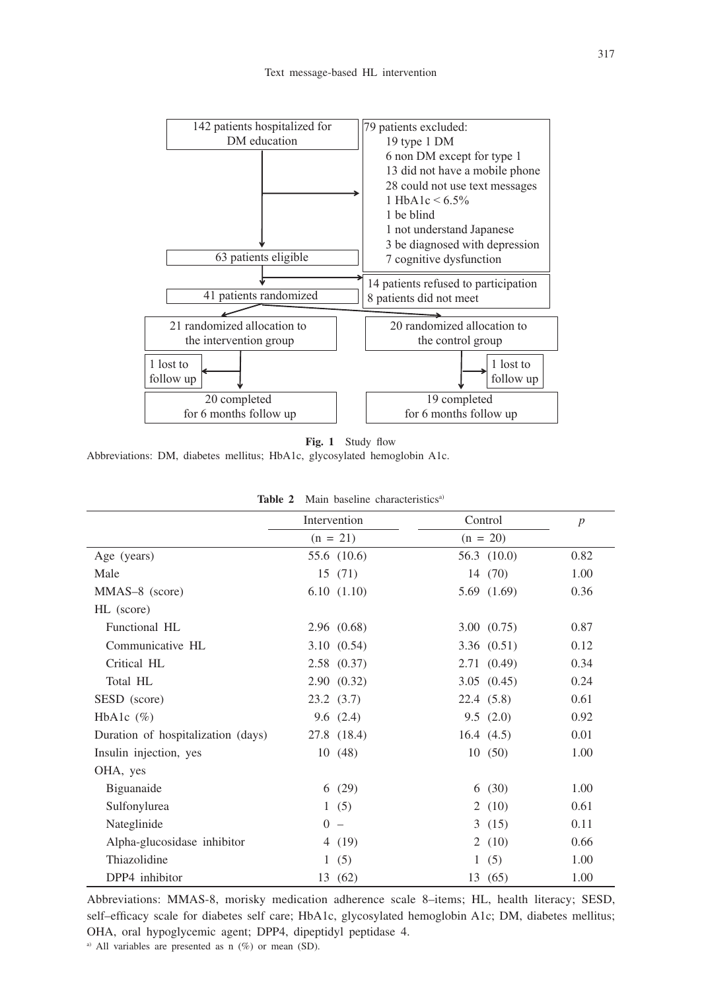

**Fig. 1** Study flow

Abbreviations: DM, diabetes mellitus; HbA1c, glycosylated hemoglobin A1c.

|                                    | Intervention |             |   | Control     | $\boldsymbol{p}$ |
|------------------------------------|--------------|-------------|---|-------------|------------------|
|                                    |              | $(n = 21)$  |   | $(n = 20)$  |                  |
| Age (years)                        |              | 55.6 (10.6) |   | 56.3 (10.0) | 0.82             |
| Male                               |              | 15(71)      |   | 14 (70)     | 1.00             |
| MMAS-8 (score)                     |              | 6.10(1.10)  |   | 5.69(1.69)  | 0.36             |
| HL (score)                         |              |             |   |             |                  |
| Functional HL                      |              | 2.96(0.68)  |   | 3.00(0.75)  | 0.87             |
| Communicative HL                   |              | 3.10(0.54)  |   | 3.36(0.51)  | 0.12             |
| Critical HL                        |              | 2.58(0.37)  |   | 2.71(0.49)  | 0.34             |
| Total HL                           |              | 2.90(0.32)  |   | 3.05(0.45)  | 0.24             |
| SESD (score)                       |              | 23.2(3.7)   |   | 22.4(5.8)   | 0.61             |
| HbA1c $(\%)$                       |              | 9.6(2.4)    |   | 9.5(2.0)    | 0.92             |
| Duration of hospitalization (days) |              | 27.8 (18.4) |   | 16.4(4.5)   | 0.01             |
| Insulin injection, yes             |              | 10(48)      |   | 10(50)      | 1.00             |
| OHA, yes                           |              |             |   |             |                  |
| Biguanaide                         |              | 6(29)       |   | 6(30)       | 1.00             |
| Sulfonylurea                       |              | 1(5)        |   | 2(10)       | 0.61             |
| Nateglinide                        |              | $0 -$       |   | 3(15)       | 0.11             |
| Alpha-glucosidase inhibitor        |              | 4(19)       |   | 2(10)       | 0.66             |
| Thiazolidine                       |              | 1(5)        | 1 | (5)         | 1.00             |
| DPP4 inhibitor                     |              | 13 (62)     |   | 13 (65)     | 1.00             |

|  | Table 2 Main baseline characteristics <sup>a)</sup> |
|--|-----------------------------------------------------|
|--|-----------------------------------------------------|

Abbreviations: MMAS-8, morisky medication adherence scale 8–items; HL, health literacy; SESD, self–efficacy scale for diabetes self care; HbA1c, glycosylated hemoglobin A1c; DM, diabetes mellitus; OHA, oral hypoglycemic agent; DPP4, dipeptidyl peptidase 4. <sup>a)</sup> All variables are presented as n  $(\%)$  or mean (SD).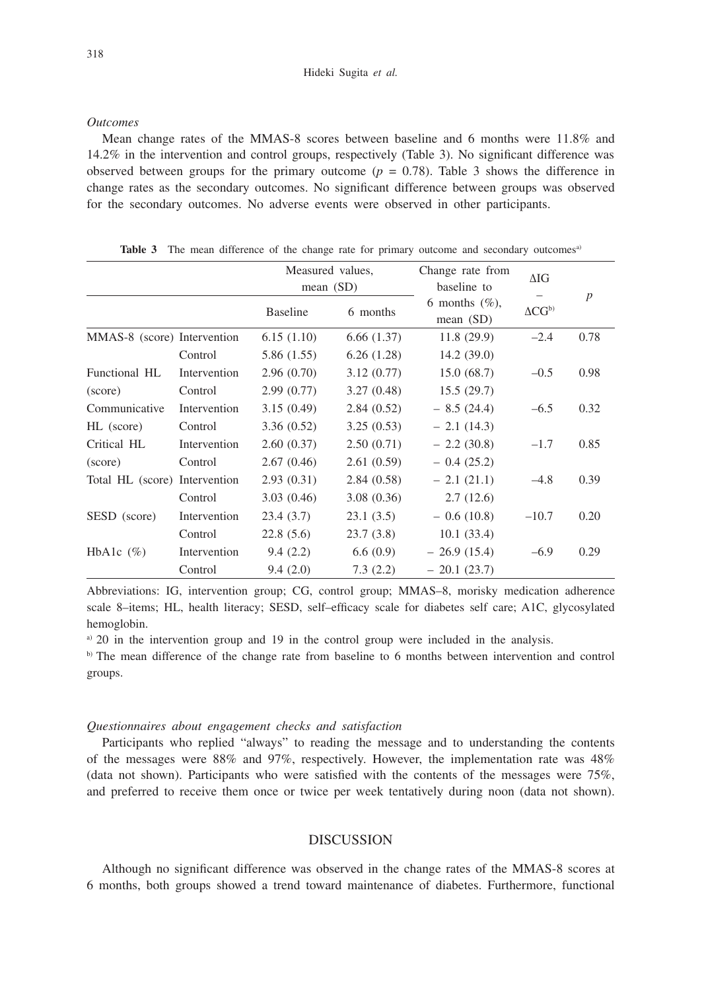#### *Outcomes*

Mean change rates of the MMAS-8 scores between baseline and 6 months were 11.8% and 14.2% in the intervention and control groups, respectively (Table 3). No significant difference was observed between groups for the primary outcome  $(p = 0.78)$ . Table 3 shows the difference in change rates as the secondary outcomes. No significant difference between groups was observed for the secondary outcomes. No adverse events were observed in other participants.

|                               |              | Measured values,<br>mean $(SD)$ |            | Change rate from<br>baseline to  | $\Delta$ IG          |                  |
|-------------------------------|--------------|---------------------------------|------------|----------------------------------|----------------------|------------------|
|                               |              | <b>Baseline</b>                 | 6 months   | 6 months $(\%)$ ,<br>mean $(SD)$ | $\Delta CG^{\rm b)}$ | $\boldsymbol{p}$ |
| MMAS-8 (score) Intervention   |              | 6.15(1.10)                      | 6.66(1.37) | 11.8(29.9)                       | $-2.4$               | 0.78             |
|                               | Control      | 5.86(1.55)                      | 6.26(1.28) | 14.2(39.0)                       |                      |                  |
| Functional HL                 | Intervention | 2.96(0.70)                      | 3.12(0.77) | 15.0(68.7)                       | $-0.5$               | 0.98             |
| (score)                       | Control      | 2.99(0.77)                      | 3.27(0.48) | 15.5(29.7)                       |                      |                  |
| Communicative                 | Intervention | 3.15(0.49)                      | 2.84(0.52) | $-8.5(24.4)$                     | $-6.5$               | 0.32             |
| HL (score)                    | Control      | 3.36(0.52)                      | 3.25(0.53) | $-2.1(14.3)$                     |                      |                  |
| Critical HL                   | Intervention | 2.60(0.37)                      | 2.50(0.71) | $-2.2(30.8)$                     | $-1.7$               | 0.85             |
| (score)                       | Control      | 2.67(0.46)                      | 2.61(0.59) | $-0.4(25.2)$                     |                      |                  |
| Total HL (score) Intervention |              | 2.93(0.31)                      | 2.84(0.58) | $-2.1(21.1)$                     | $-4.8$               | 0.39             |
|                               | Control      | 3.03(0.46)                      | 3.08(0.36) | 2.7(12.6)                        |                      |                  |
| SESD (score)                  | Intervention | 23.4(3.7)                       | 23.1(3.5)  | $-0.6(10.8)$                     | $-10.7$              | 0.20             |
|                               | Control      | 22.8(5.6)                       | 23.7(3.8)  | 10.1(33.4)                       |                      |                  |
| HbAlc $(\%)$                  | Intervention | 9.4(2.2)                        | 6.6(0.9)   | $-26.9(15.4)$                    | $-6.9$               | 0.29             |
|                               | Control      | 9.4(2.0)                        | 7.3(2.2)   | $-20.1(23.7)$                    |                      |                  |

**Table 3** The mean difference of the change rate for primary outcome and secondary outcomes<sup>a)</sup>

Abbreviations: IG, intervention group; CG, control group; MMAS–8, morisky medication adherence scale 8–items; HL, health literacy; SESD, self–efficacy scale for diabetes self care; A1C, glycosylated hemoglobin.

a) 20 in the intervention group and 19 in the control group were included in the analysis.

b) The mean difference of the change rate from baseline to 6 months between intervention and control groups.

#### *Questionnaires about engagement checks and satisfaction*

Participants who replied "always" to reading the message and to understanding the contents of the messages were 88% and 97%, respectively. However, the implementation rate was 48% (data not shown). Participants who were satisfied with the contents of the messages were 75%, and preferred to receive them once or twice per week tentatively during noon (data not shown).

## DISCUSSION

Although no significant difference was observed in the change rates of the MMAS-8 scores at 6 months, both groups showed a trend toward maintenance of diabetes. Furthermore, functional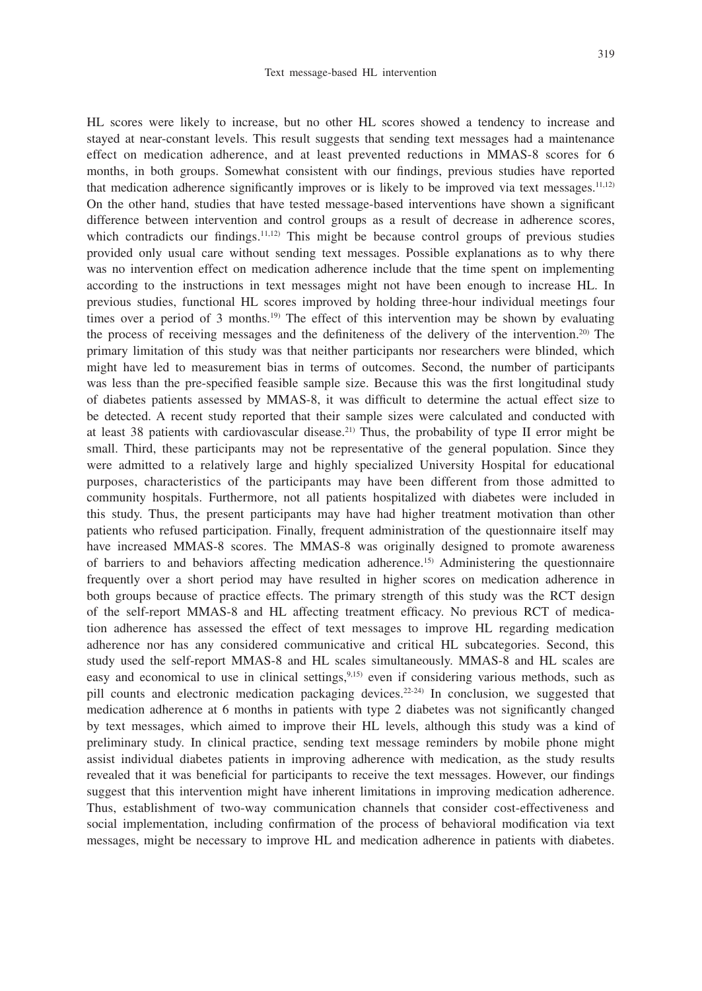HL scores were likely to increase, but no other HL scores showed a tendency to increase and stayed at near-constant levels. This result suggests that sending text messages had a maintenance effect on medication adherence, and at least prevented reductions in MMAS-8 scores for 6 months, in both groups. Somewhat consistent with our findings, previous studies have reported that medication adherence significantly improves or is likely to be improved via text messages.11,12) On the other hand, studies that have tested message-based interventions have shown a significant difference between intervention and control groups as a result of decrease in adherence scores, which contradicts our findings.<sup>11,12)</sup> This might be because control groups of previous studies provided only usual care without sending text messages. Possible explanations as to why there was no intervention effect on medication adherence include that the time spent on implementing according to the instructions in text messages might not have been enough to increase HL. In previous studies, functional HL scores improved by holding three-hour individual meetings four times over a period of 3 months.<sup>19)</sup> The effect of this intervention may be shown by evaluating the process of receiving messages and the definiteness of the delivery of the intervention.20) The primary limitation of this study was that neither participants nor researchers were blinded, which might have led to measurement bias in terms of outcomes. Second, the number of participants was less than the pre-specified feasible sample size. Because this was the first longitudinal study of diabetes patients assessed by MMAS-8, it was difficult to determine the actual effect size to be detected. A recent study reported that their sample sizes were calculated and conducted with at least 38 patients with cardiovascular disease.<sup>21)</sup> Thus, the probability of type II error might be small. Third, these participants may not be representative of the general population. Since they were admitted to a relatively large and highly specialized University Hospital for educational purposes, characteristics of the participants may have been different from those admitted to community hospitals. Furthermore, not all patients hospitalized with diabetes were included in this study. Thus, the present participants may have had higher treatment motivation than other patients who refused participation. Finally, frequent administration of the questionnaire itself may have increased MMAS-8 scores. The MMAS-8 was originally designed to promote awareness of barriers to and behaviors affecting medication adherence.15) Administering the questionnaire frequently over a short period may have resulted in higher scores on medication adherence in both groups because of practice effects. The primary strength of this study was the RCT design of the self-report MMAS-8 and HL affecting treatment efficacy. No previous RCT of medication adherence has assessed the effect of text messages to improve HL regarding medication adherence nor has any considered communicative and critical HL subcategories. Second, this study used the self-report MMAS-8 and HL scales simultaneously. MMAS-8 and HL scales are easy and economical to use in clinical settings,<sup>9,15)</sup> even if considering various methods, such as pill counts and electronic medication packaging devices.22-24) In conclusion, we suggested that medication adherence at 6 months in patients with type 2 diabetes was not significantly changed by text messages, which aimed to improve their HL levels, although this study was a kind of preliminary study. In clinical practice, sending text message reminders by mobile phone might assist individual diabetes patients in improving adherence with medication, as the study results revealed that it was beneficial for participants to receive the text messages. However, our findings suggest that this intervention might have inherent limitations in improving medication adherence. Thus, establishment of two-way communication channels that consider cost-effectiveness and social implementation, including confirmation of the process of behavioral modification via text messages, might be necessary to improve HL and medication adherence in patients with diabetes.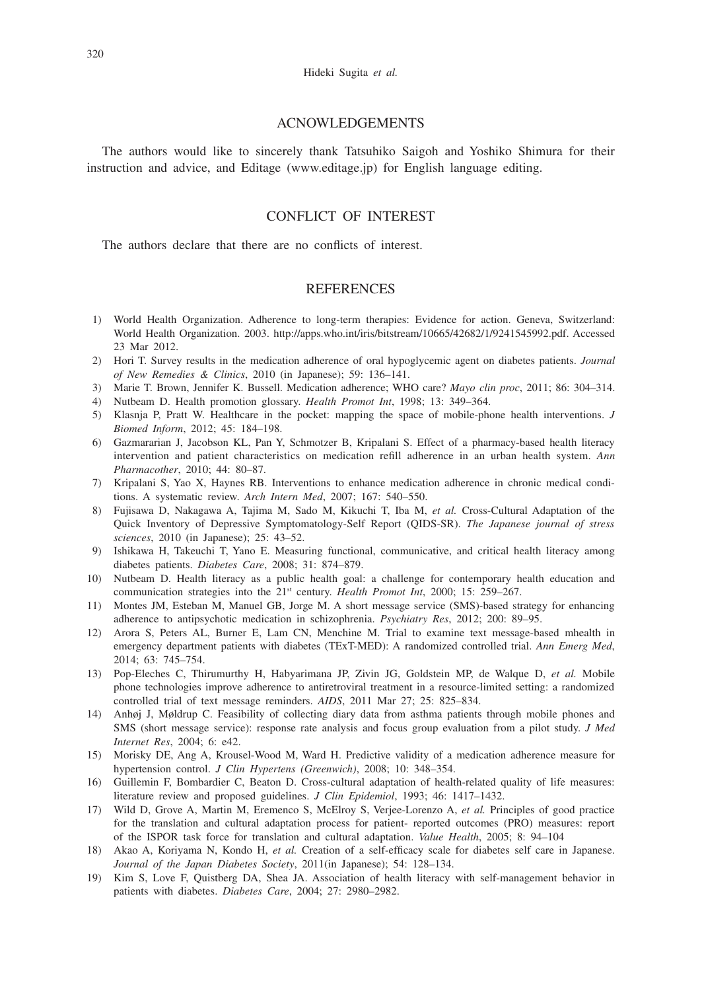#### ACNOWLEDGEMENTS

The authors would like to sincerely thank Tatsuhiko Saigoh and Yoshiko Shimura for their instruction and advice, and Editage (www.editage.jp) for English language editing.

## CONFLICT OF INTEREST

The authors declare that there are no conflicts of interest.

## **REFERENCES**

- 1) World Health Organization. Adherence to long-term therapies: Evidence for action. Geneva, Switzerland: World Health Organization. 2003. http://apps.who.int/iris/bitstream/10665/42682/1/9241545992.pdf. Accessed 23 Mar 2012.
- 2) Hori T. Survey results in the medication adherence of oral hypoglycemic agent on diabetes patients. *Journal of New Remedies & Clinics*, 2010 (in Japanese); 59: 136–141.
- 3) Marie T. Brown, Jennifer K. Bussell. Medication adherence; WHO care? *Mayo clin proc*, 2011; 86: 304–314.
- 4) Nutbeam D. Health promotion glossary. *Health Promot Int*, 1998; 13: 349–364.
- 5) Klasnja P, Pratt W. Healthcare in the pocket: mapping the space of mobile-phone health interventions. *J Biomed Inform*, 2012; 45: 184–198.
- 6) Gazmararian J, Jacobson KL, Pan Y, Schmotzer B, Kripalani S. Effect of a pharmacy-based health literacy intervention and patient characteristics on medication refill adherence in an urban health system. *Ann Pharmacother*, 2010; 44: 80–87.
- 7) Kripalani S, Yao X, Haynes RB. Interventions to enhance medication adherence in chronic medical conditions. A systematic review. *Arch Intern Med*, 2007; 167: 540–550.
- 8) Fujisawa D, Nakagawa A, Tajima M, Sado M, Kikuchi T, Iba M, *et al.* Cross-Cultural Adaptation of the Quick Inventory of Depressive Symptomatology-Self Report (QIDS-SR). *The Japanese journal of stress sciences*, 2010 (in Japanese); 25: 43–52.
- 9) Ishikawa H, Takeuchi T, Yano E. Measuring functional, communicative, and critical health literacy among diabetes patients. *Diabetes Care*, 2008; 31: 874–879.
- 10) Nutbeam D. Health literacy as a public health goal: a challenge for contemporary health education and communication strategies into the 21<sup>st</sup> century. *Health Promot Int*, 2000; 15: 259–267.
- 11) Montes JM, Esteban M, Manuel GB, Jorge M. A short message service (SMS)-based strategy for enhancing adherence to antipsychotic medication in schizophrenia. *Psychiatry Res*, 2012; 200: 89–95.
- 12) Arora S, Peters AL, Burner E, Lam CN, Menchine M. Trial to examine text message-based mhealth in emergency department patients with diabetes (TExT-MED): A randomized controlled trial. *Ann Emerg Med*, 2014; 63: 745–754.
- 13) Pop-Eleches C, Thirumurthy H, Habyarimana JP, Zivin JG, Goldstein MP, de Walque D, *et al.* Mobile phone technologies improve adherence to antiretroviral treatment in a resource-limited setting: a randomized controlled trial of text message reminders. *AIDS*, 2011 Mar 27; 25: 825–834.
- 14) Anhøj J, Møldrup C. Feasibility of collecting diary data from asthma patients through mobile phones and SMS (short message service): response rate analysis and focus group evaluation from a pilot study. *J Med Internet Res*, 2004; 6: e42.
- 15) Morisky DE, Ang A, Krousel-Wood M, Ward H. Predictive validity of a medication adherence measure for hypertension control. *J Clin Hypertens (Greenwich)*, 2008; 10: 348–354.
- 16) Guillemin F, Bombardier C, Beaton D. Cross-cultural adaptation of health-related quality of life measures: literature review and proposed guidelines. *J Clin Epidemiol*, 1993; 46: 1417–1432.
- 17) Wild D, Grove A, Martin M, Eremenco S, McElroy S, Verjee-Lorenzo A, *et al.* Principles of good practice for the translation and cultural adaptation process for patient- reported outcomes (PRO) measures: report of the ISPOR task force for translation and cultural adaptation. *Value Health*, 2005; 8: 94–104
- 18) Akao A, Koriyama N, Kondo H, *et al.* Creation of a self-efficacy scale for diabetes self care in Japanese. *Journal of the Japan Diabetes Society*, 2011(in Japanese); 54: 128–134.
- 19) Kim S, Love F, Quistberg DA, Shea JA. Association of health literacy with self-management behavior in patients with diabetes. *Diabetes Care*, 2004; 27: 2980–2982.